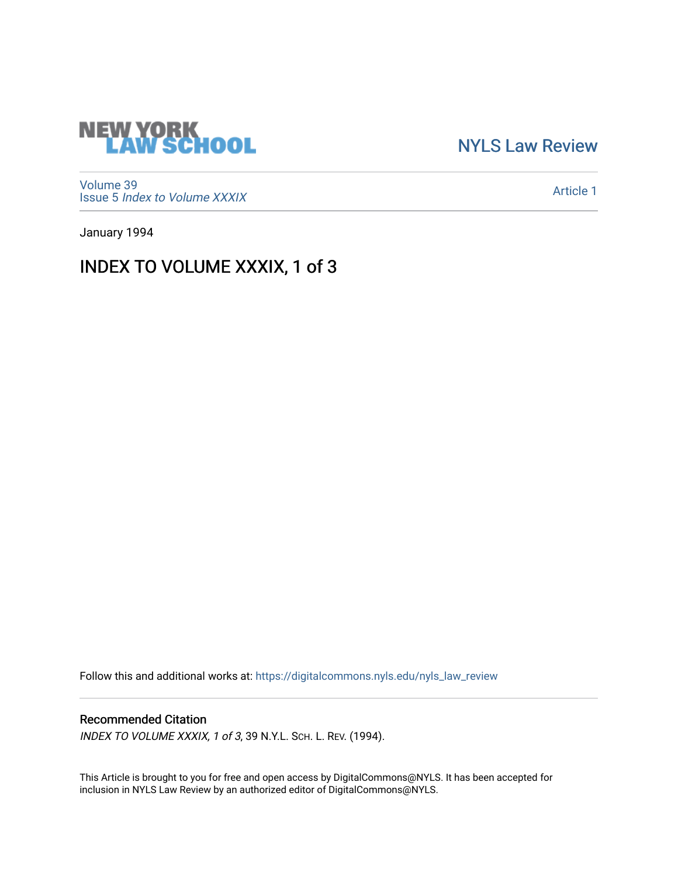# **NEW YORK<br>LAW SCHOOL**

[NYLS Law Review](https://digitalcommons.nyls.edu/nyls_law_review) 

[Volume 39](https://digitalcommons.nyls.edu/nyls_law_review/vol39) Issue 5 [Index to Volume XXXIX](https://digitalcommons.nyls.edu/nyls_law_review/vol39/iss5)

[Article 1](https://digitalcommons.nyls.edu/nyls_law_review/vol39/iss5/1) 

January 1994

# INDEX TO VOLUME XXXIX, 1 of 3

Follow this and additional works at: [https://digitalcommons.nyls.edu/nyls\\_law\\_review](https://digitalcommons.nyls.edu/nyls_law_review?utm_source=digitalcommons.nyls.edu%2Fnyls_law_review%2Fvol39%2Fiss5%2F1&utm_medium=PDF&utm_campaign=PDFCoverPages) 

#### Recommended Citation

INDEX TO VOLUME XXXIX, 1 of 3, 39 N.Y.L. SCH. L. REV. (1994).

This Article is brought to you for free and open access by DigitalCommons@NYLS. It has been accepted for inclusion in NYLS Law Review by an authorized editor of DigitalCommons@NYLS.